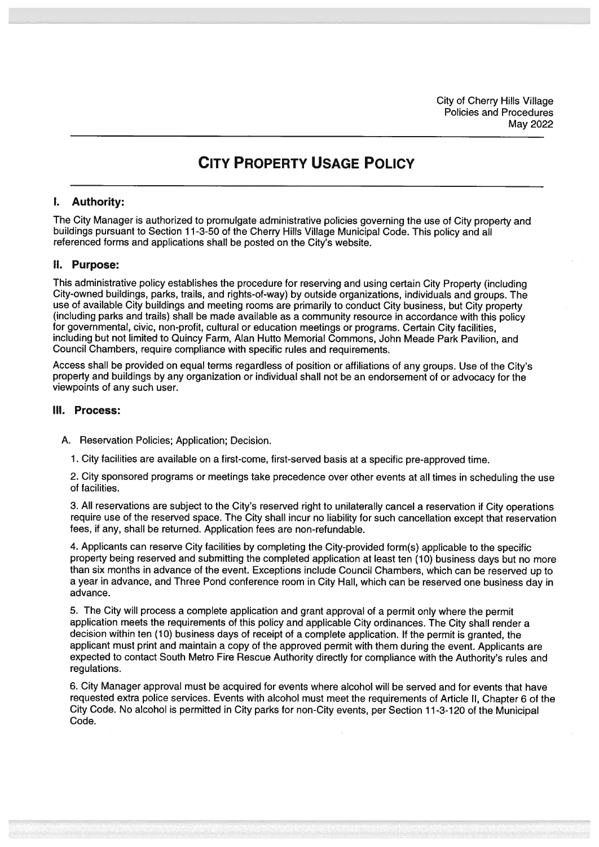City of Cherry Hills Village Policies and Procedures May 2022

# CITY PROPERTY USAGE POLICY

### I. Authority:

The City Manager is authorized to promulgate administrative policies governing the use of City property and buildings pursuan<sup>t</sup> to Section 11-3-50 of the Cherry Hills Village Municipal Code. This policy and all referenced forms and applications shall be posted on the City's website.

#### II. Purpose:

This administrative policy establishes the procedure for reserving and using certain City Property (including City-owned buildings, parks, trails, and rights-of-way) by outside organizations, individuals and groups. The use of available City buildings and meeting rooms are primarily to conduct City business, but City property (including parks and trails) shall be made available as <sup>a</sup> community resource in accordance with this policy for governmental, civic, non-profit, cultural or education meetings or programs. Certain City facilities, including but not limited to Quincy Farm, Alan Hutto Memorial Commons, John Meade Park Pavilion, and Council Chambers, require compliance with specific rules and requirements.

Access shall be provided on equa<sup>l</sup> terms regardless of position or affiliations of any groups. Use of the City's property and buildings by any organization or individual shall not be an endorsement of or advocacy for the viewpoints of any such user.

#### III. Process:

- A. Reservation Policies; Application; Decision.
	- 1. City facilities are available on <sup>a</sup> first-come, first-served basis at <sup>a</sup> specific pre-approved time.

2. City sponsore<sup>d</sup> programs or meetings take precedence over other events at all times in scheduling the use of facilities.

3. All reservations are subject to the City's reserved right to unilaterally cancel <sup>a</sup> reservation if City operations require use of the reserved space. The City shall incur no liability for such cancellation excep<sup>t</sup> that reservation fees, if any, shall be returned. Application fees are non-refundable.

4. Applicants can reserve City facilities by completing the City-provided form(s) applicable to the specific property being reserved and submitting the completed application at least ten (10) business days but no more than six months in advance of the event. Exceptions include Council Chambers, which can be reserved up to <sup>a</sup> year in advance, and Three Pond conference room in City Hall, which can be reserved one business day in advance.

5. The City will process <sup>a</sup> complete application and gran<sup>t</sup> approva<sup>l</sup> of <sup>a</sup> permit only where the permit application meets the requirements of this policy and applicable City ordinances. The City shall render <sup>a</sup> decision within ten (10) business days of receipt of <sup>a</sup> complete application. If the permit is granted, the applicant must print and maintain <sup>a</sup> copy of the approve<sup>d</sup> permit with them during the event. Applicants are expected to contact South Metro Fire Rescue Authority directly for compliance with the Authority's rules and regulations.

6. City Manager approval must be acquired for events where alcohol will be served and for events that have requested extra police services. Events with alcohol must meet the requirements of Article II, Chapter <sup>6</sup> of the City Code. No alcohol is permitted in City parks for non-City events, per Section 11-3-120 of the Municipal Code.